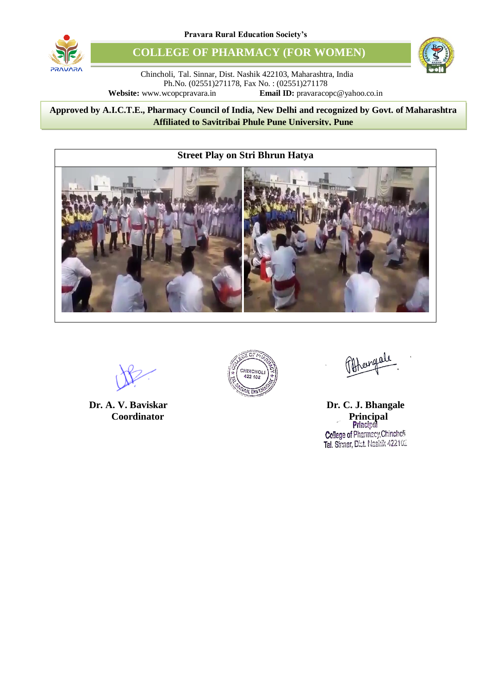

**COLLEGE OF PHARMACY (FOR WOMEN)**



Chincholi, Tal. Sinnar, Dist. Nashik 422103, Maharashtra, India Ph.No. (02551)271178, Fax No. : (02551)271178 **Website:** www.wcopcpravara.in **Email ID:** pravaracopc@yahoo.co.in

8 **Approved by A.I.C.T.E., Pharmacy Council of India, New Delhi and recognized by Govt. of Maharashtra Affiliated to Savitribai Phule Pune University, Pune**



**Coordinator** 



**Dr. A. V. Baviskar Dr. C. J. Bhangale**<br> **Dr. C. J. Bhangale**<br> **Principal**<br> **Principal** Cellege of Pharmacy, Chincholi Tal. Sianar, Dist. Nashik 422102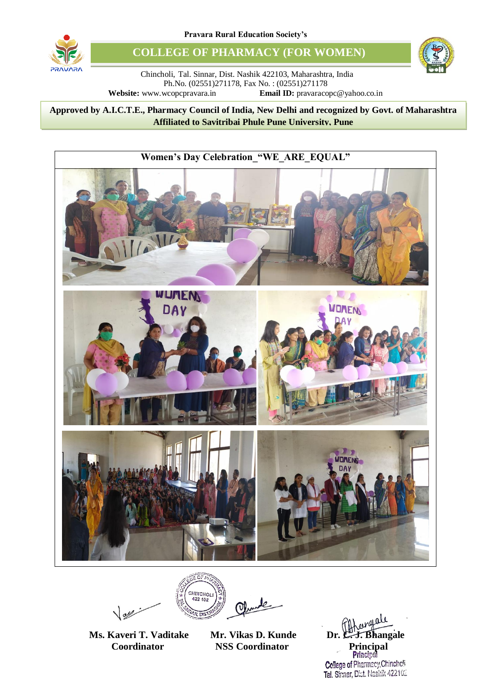

**COLLEGE OF PHARMACY (FOR WOMEN)**



Chincholi, Tal. Sinnar, Dist. Nashik 422103, Maharashtra, India Ph.No. (02551)271178, Fax No. : (02551)271178 **Website:** www.wcopcpravara.in **Email ID:** pravaracopc@yahoo.co.in

8 **Approved by A.I.C.T.E., Pharmacy Council of India, New Delhi and recognized by Govt. of Maharashtra Affiliated to Savitribai Phule Pune University, Pune**



 $\sqrt{d}$ 

CHINCHOLI<br>422 102

**Ms. Kaveri T. Vaditake Mr. Vikas D. Kunde Dr. C. J. Bhangale Coordinator 1988 Coordinator Principal** Principal Cellege of Pharmacy, Chincholi Tal. Signar, Dist. Nashik 422102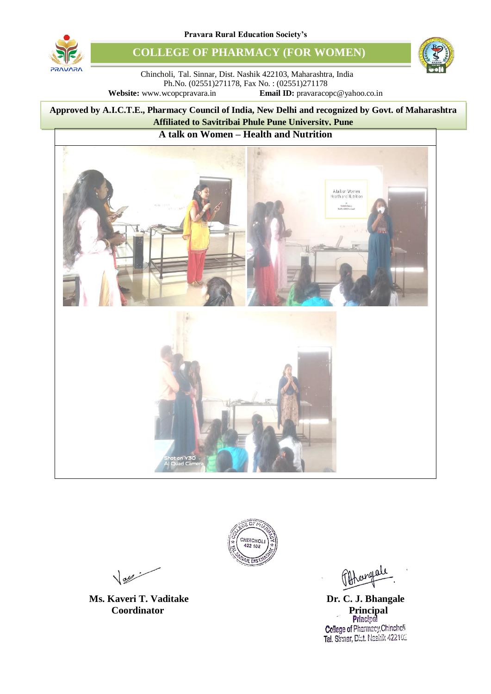

**COLLEGE OF PHARMACY (FOR WOMEN)**



Chincholi, Tal. Sinnar, Dist. Nashik 422103, Maharashtra, India Ph.No. (02551)271178, Fax No. : (02551)271178 **Website:** www.wcopcpravara.in **Email ID:** pravaracopc@yahoo.co.in

8 **Approved by A.I.C.T.E., Pharmacy Council of India, New Delhi and recognized by Govt. of Maharashtra Affiliated to Savitribai Phule Pune University, Pune**

## **A talk on Women – Health and Nutrition**





 $\sqrt{dy}$ 

**Coordinator** 

**Ms. Kaveri T. Vaditake Dr. C. J. Bhangale Dr. C. J. Bhangale Principal Principal** Cellege of Pharmacy, Chincholi Tal. Sinnar, Dist. Nashik 422102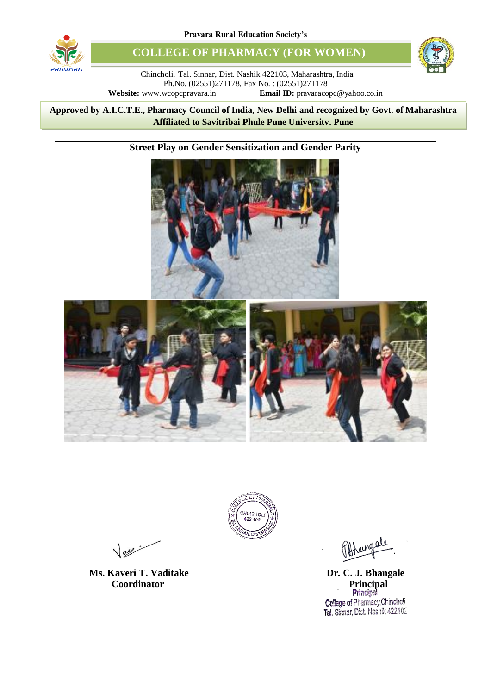

**COLLEGE OF PHARMACY (FOR WOMEN)**



Chincholi, Tal. Sinnar, Dist. Nashik 422103, Maharashtra, India Ph.No. (02551)271178, Fax No. : (02551)271178 **Website:** www.wcopcpravara.in **Email ID:** pravaracopc@yahoo.co.in

8 **Approved by A.I.C.T.E., Pharmacy Council of India, New Delhi and recognized by Govt. of Maharashtra Affiliated to Savitribai Phule Pune University, Pune**





 $\sqrt{2\pi r}$ 

**Coordinator** 

**Ms. Kaveri T. Vaditake Dr. C. J. Bhangale Dr. C. J. Bhangale Principal Principal** Cellege of Pharmacy, Chincholi Tal. Sinnar, Dist. Nashik 422102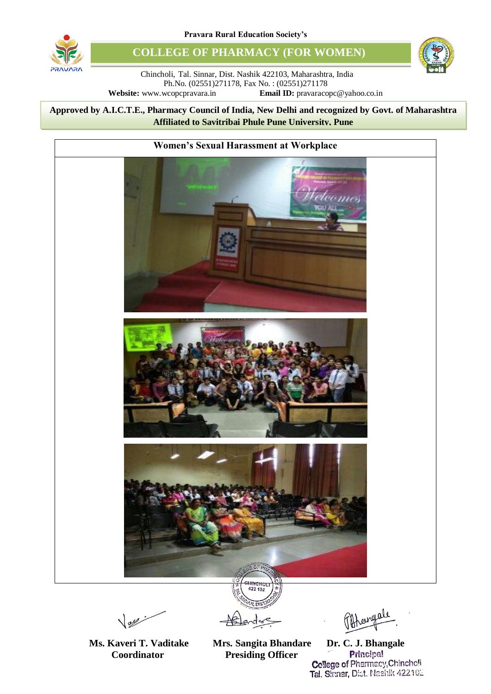

**COLLEGE OF PHARMACY (FOR WOMEN)**



Chincholi, Tal. Sinnar, Dist. Nashik 422103, Maharashtra, India Ph.No. (02551)271178, Fax No. : (02551)271178 **Website:** www.wcopcpravara.in **Email ID:** pravaracopc@yahoo.co.in

8 **Approved by A.I.C.T.E., Pharmacy Council of India, New Delhi and recognized by Govt. of Maharashtra Affiliated to Savitribai Phule Pune University, Pune**



 $\sqrt{2\pi r}$ 

**Ms. Kaveri T. Vaditake Mrs. Sangita Bhandare Dr. C. J. Bhangale**<br>Coordinator Presiding Officer Principal

**Coordinator Presiding Officer Principal Presiding Officer Principal College of Pharmacy, Chinchoff** Tal. Shmar, Dist. Nashik 422102